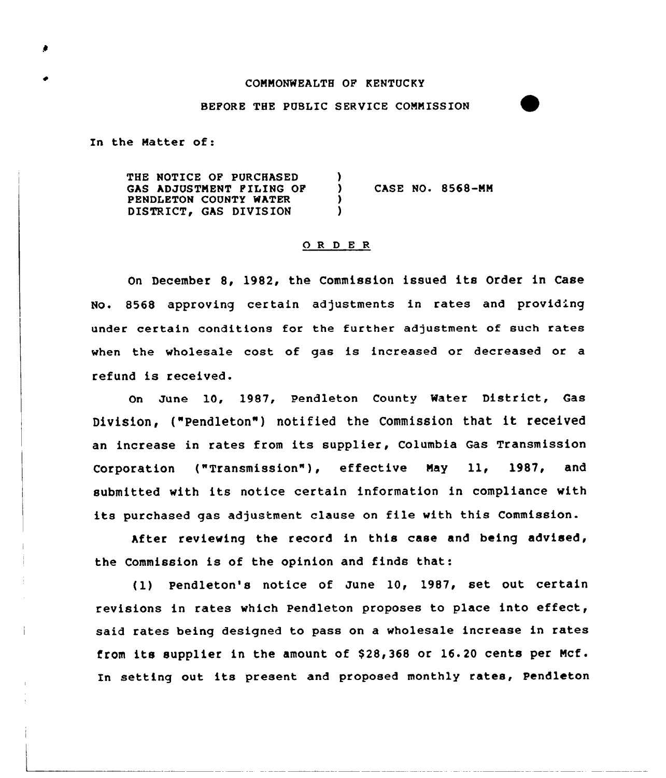#### COMMONWEALTH OF KENTUCKY

### BEFORE THE PUBLIC SERVICE COMMISSION

In the Matter of:

THE NOTICE OF PURCHASED GAS ADJUSTMENT FILING OP PENDLETON COUNTY WATER DISTRICT. GAS DIVISION ) ) cASE No. 8568-MM ) )

### 0 R <sup>D</sup> E <sup>R</sup>

On December 8, 1982, the Commission issued its Order in Case No. 8568 approving certain adjustments in rates and providing under certain conditions for the further adjustment of such rates when the wholesale cost of gas is increased or decreased or a refund is received.

On June 10, 1987, Pendleton County Water District, Gas Division, ("Pendleton") notified the Commission that it received an increase in rates from its supplier, Columbia Gas Transmission Corporation ("Transmission"), effective May 11, 1987, and submitted with its notice certain information in compliance with its purchased gas adjustment clause on file with this Commission.

After reviewing the record in this case and being advised, the Commission is of the opinion and finds that:

(1) Pendleton's notice of June 10, 1987, set out certain revisions in rates which Pendleton proposes to place into effect, said rates being designed to pass on a wholesale increase in rates from its supplier in the amount of  $$28,368$  or 16.20 cents per Mcf. In setting out its present and proposed monthly rates, Pendleton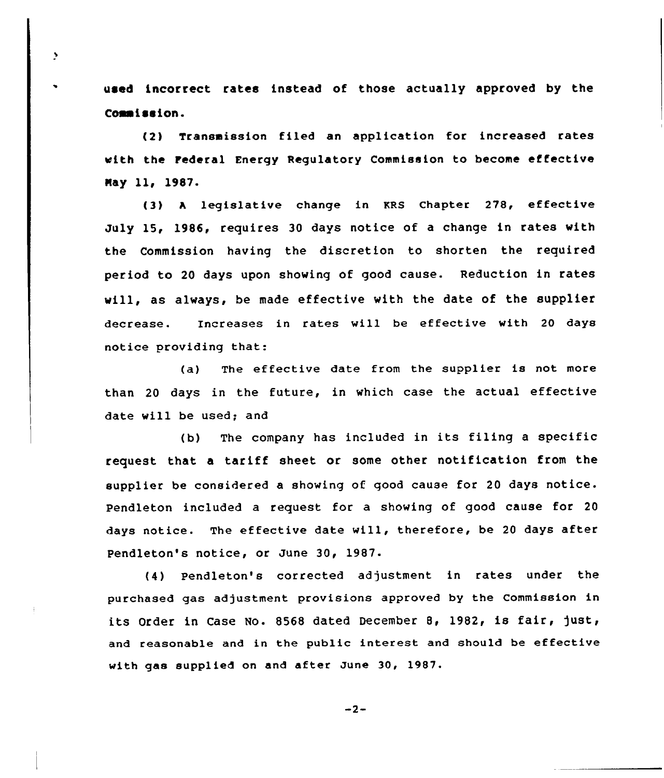used incorrect rates instead of those actually approved by the Commission.

ð

(2) Transmission filed an application for increased rates with the tederal Energy Regulatory Commission to become effective Nay 11, 1987-

(3) <sup>A</sup> legislative change in KRS Chapter 278, effective July 15, 1986, requires 30 days notice of a change in rates with the Commission having the discretion to shorten the required period to 20 days upon showing of good cause. Reduction in rates will, as always, be made effective with the date of the supplier decrease. Increases in rates will be effective with 20 days notice providing that:

(a) The effective date from the supplier is not more than 20 days in the future, in which case the actual effective date will be used; and

(b) The company has included in its filing <sup>a</sup> specific request that a tariff sheet or some other notification from the supplier be considered a showing of good cause for <sup>20</sup> days notice. Pendleton included a request for a showing of good cause for 20 days notice. The effective date will, therefore, be <sup>20</sup> days after Pendleton's notice, or June 30, 1987.

(4) Pendleton's corrected adjustment in rates under the purchased gas adjustment provisions approved by the Commission in its Order in Case No. <sup>8568</sup> dated December 8, 1982, is fair, just, and reasonable and in the public interest and should be effective with gas supplied on and after June 30, 1987.

 $-2-$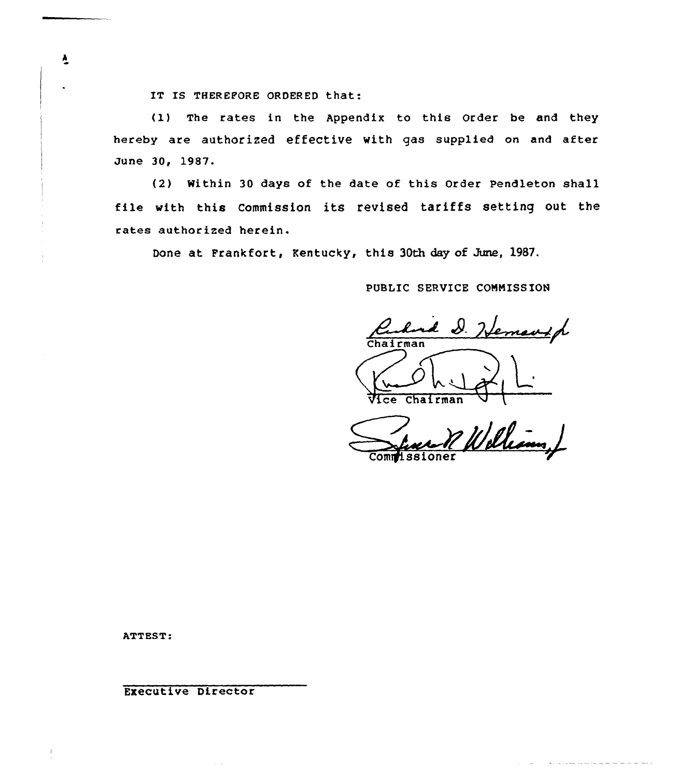IT IS THEREFORE ORDERED that:

(1) The rates in the Appendix to this Order be and they hereby are authorized effectiVe with gas supplied on and after June 30, 1987.

{2) Within 30 days of the date of this Order Pendleton shall file with this Commission its revised tariffs setting out the rates authorized herein.

Done at Frankfort, Kentucky, this 30th day of June, 1987.

PUBLIC SERVICE COMMISSION

Rudol D. Hemanip

Vice Chairman

Williams Commissione

<u> 1954 de la componenta</u>

ATTEST:

Executive Director

 $\frac{1}{2}$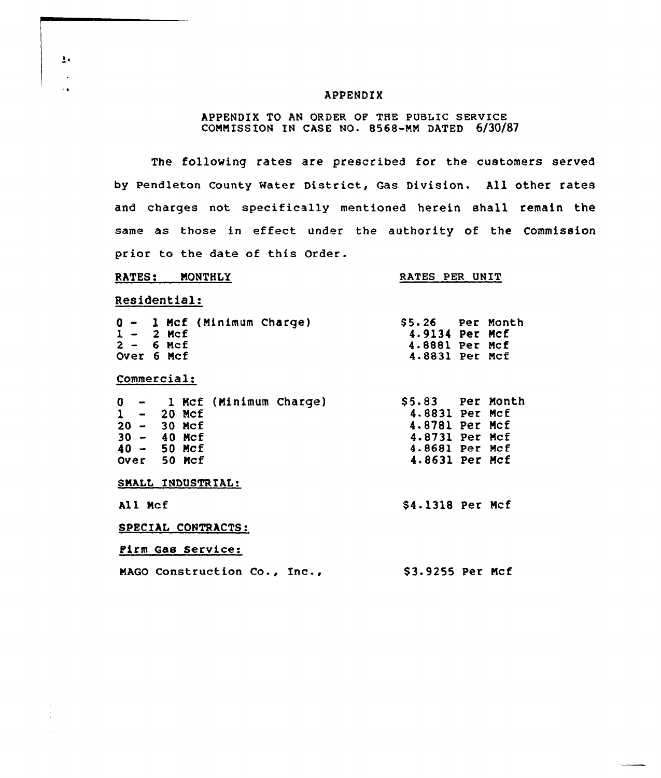### APPENDIX

## APPENDIX TO AN ORDER OF THE PUBLIC SERVICE CONNISS ION IN CASE NO- 8568-NN DATED 6/30/87

The following rates are prescribed for the customers served by pendleton County water District, Gas Division. All other rates and charges not specifically mentioned herein shall remain the same as those in effect under the authority of the Commission prior to the date of this Order.

### RATES: MONTHLY

### RATES PER UNIT

# Residential:

 $\overline{\mathbf{1}}$ ÷.  $\ddot{\phantom{0}}$ 

 $\bar{z}$ 

| 0 - 1 Mcf (Minimum Charge)   | \$5.26 Per Month |  |
|------------------------------|------------------|--|
| $1 - 2$ Mcf                  | 4.9134 Per Mcf   |  |
| $2 - 6$ Mcf                  | 4.8881 Per Mcf   |  |
| Over 6 Mcf                   | 4.8831 Per Mcf   |  |
| Commercial:                  |                  |  |
| 0 - 1 Mcf (Minimum Charge)   | 55.83 Per Month  |  |
| $1 - 20$ Mcf                 | 4.8831 Per McE   |  |
| $20 - 30$ Mcf                | 4.8781 Per Mcf   |  |
| $30 - 40$ Mcf                | 4.8731 Per Mcf   |  |
| $40 - 50$ Mcf                | 4.8681 Per Mcf   |  |
| Over 50 Mcf                  | 4.8631 Per Mcf   |  |
| SMALL INDUSTRIAL:            |                  |  |
| All Mcf                      | \$4.1318 Per Mcf |  |
| SPECIAL CONTRACTS:           |                  |  |
| Firm Gas Service:            |                  |  |
| MAGO Construction Co., Inc., | \$3.9255 Per Mcf |  |
|                              |                  |  |